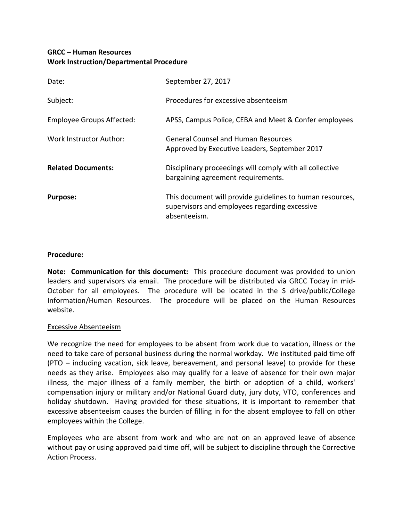# **GRCC – Human Resources Work Instruction/Departmental Procedure**

| Date:                     | September 27, 2017                                                                                                         |
|---------------------------|----------------------------------------------------------------------------------------------------------------------------|
| Subject:                  | Procedures for excessive absenteeism                                                                                       |
| Employee Groups Affected: | APSS, Campus Police, CEBA and Meet & Confer employees                                                                      |
| Work Instructor Author:   | <b>General Counsel and Human Resources</b><br>Approved by Executive Leaders, September 2017                                |
| <b>Related Documents:</b> | Disciplinary proceedings will comply with all collective<br>bargaining agreement requirements.                             |
| <b>Purpose:</b>           | This document will provide guidelines to human resources,<br>supervisors and employees regarding excessive<br>absenteeism. |

## **Procedure:**

**Note: Communication for this document:** This procedure document was provided to union leaders and supervisors via email. The procedure will be distributed via GRCC Today in mid-October for all employees. The procedure will be located in the S drive/public/College Information/Human Resources. The procedure will be placed on the Human Resources website.

## Excessive Absenteeism

We recognize the need for employees to be absent from work due to vacation, illness or the need to take care of personal business during the normal workday. We instituted paid time off (PTO – including vacation, sick leave, bereavement, and personal leave) to provide for these needs as they arise. Employees also may qualify for a leave of absence for their own major illness, the major illness of a family member, the birth or adoption of a child, workers' compensation injury or military and/or National Guard duty, jury duty, VTO, conferences and holiday shutdown. Having provided for these situations, it is important to remember that excessive absenteeism causes the burden of filling in for the absent employee to fall on other employees within the College.

Employees who are absent from work and who are not on an approved leave of absence without pay or using approved paid time off, will be subject to discipline through the Corrective Action Process.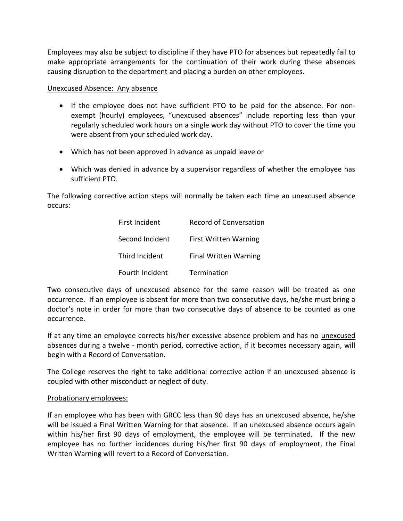Employees may also be subject to discipline if they have PTO for absences but repeatedly fail to make appropriate arrangements for the continuation of their work during these absences causing disruption to the department and placing a burden on other employees.

Unexcused Absence: Any absence

- If the employee does not have sufficient PTO to be paid for the absence. For nonexempt (hourly) employees, "unexcused absences" include reporting less than your regularly scheduled work hours on a single work day without PTO to cover the time you were absent from your scheduled work day.
- Which has not been approved in advance as unpaid leave or
- Which was denied in advance by a supervisor regardless of whether the employee has sufficient PTO.

The following corrective action steps will normally be taken each time an unexcused absence occurs:

| First Incident  | <b>Record of Conversation</b> |
|-----------------|-------------------------------|
| Second Incident | <b>First Written Warning</b>  |
| Third Incident  | <b>Final Written Warning</b>  |
| Fourth Incident | Termination                   |

Two consecutive days of unexcused absence for the same reason will be treated as one occurrence. If an employee is absent for more than two consecutive days, he/she must bring a doctor's note in order for more than two consecutive days of absence to be counted as one occurrence.

If at any time an employee corrects his/her excessive absence problem and has no unexcused absences during a twelve - month period, corrective action, if it becomes necessary again, will begin with a Record of Conversation.

The College reserves the right to take additional corrective action if an unexcused absence is coupled with other misconduct or neglect of duty.

## Probationary employees:

If an employee who has been with GRCC less than 90 days has an unexcused absence, he/she will be issued a Final Written Warning for that absence. If an unexcused absence occurs again within his/her first 90 days of employment, the employee will be terminated. If the new employee has no further incidences during his/her first 90 days of employment, the Final Written Warning will revert to a Record of Conversation.